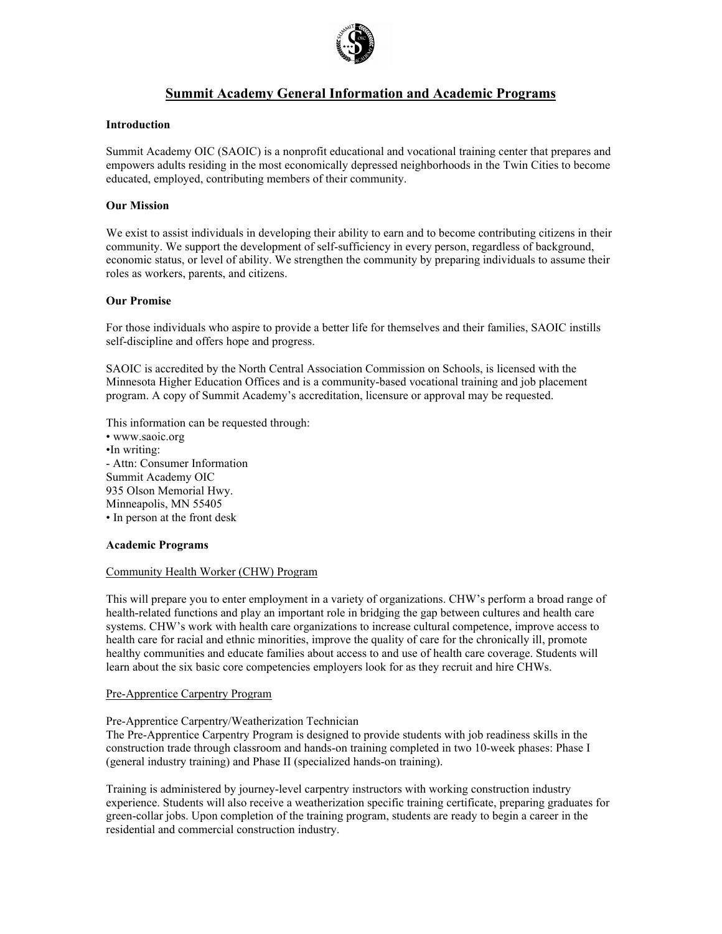

# **Summit Academy General Information and Academic Programs**

# **Introduction**

Summit Academy OIC (SAOIC) is a nonprofit educational and vocational training center that prepares and empowers adults residing in the most economically depressed neighborhoods in the Twin Cities to become educated, employed, contributing members of their community.

# **Our Mission**

We exist to assist individuals in developing their ability to earn and to become contributing citizens in their community. We support the development of self-sufficiency in every person, regardless of background, economic status, or level of ability. We strengthen the community by preparing individuals to assume their roles as workers, parents, and citizens.

# **Our Promise**

For those individuals who aspire to provide a better life for themselves and their families, SAOIC instills self-discipline and offers hope and progress.

SAOIC is accredited by the North Central Association Commission on Schools, is licensed with the Minnesota Higher Education Offices and is a community-based vocational training and job placement program. A copy of Summit Academy's accreditation, licensure or approval may be requested.

This information can be requested through:

• www.saoic.org •In writing: - Attn: Consumer Information Summit Academy OIC 935 Olson Memorial Hwy. Minneapolis, MN 55405 • In person at the front desk

## **Academic Programs**

## Community Health Worker (CHW) Program

This will prepare you to enter employment in a variety of organizations. CHW's perform a broad range of health-related functions and play an important role in bridging the gap between cultures and health care systems. CHW's work with health care organizations to increase cultural competence, improve access to health care for racial and ethnic minorities, improve the quality of care for the chronically ill, promote healthy communities and educate families about access to and use of health care coverage. Students will learn about the six basic core competencies employers look for as they recruit and hire CHWs.

## Pre-Apprentice Carpentry Program

## Pre-Apprentice Carpentry/Weatherization Technician

The Pre-Apprentice Carpentry Program is designed to provide students with job readiness skills in the construction trade through classroom and hands-on training completed in two 10-week phases: Phase I (general industry training) and Phase II (specialized hands-on training).

Training is administered by journey-level carpentry instructors with working construction industry experience. Students will also receive a weatherization specific training certificate, preparing graduates for green-collar jobs. Upon completion of the training program, students are ready to begin a career in the residential and commercial construction industry.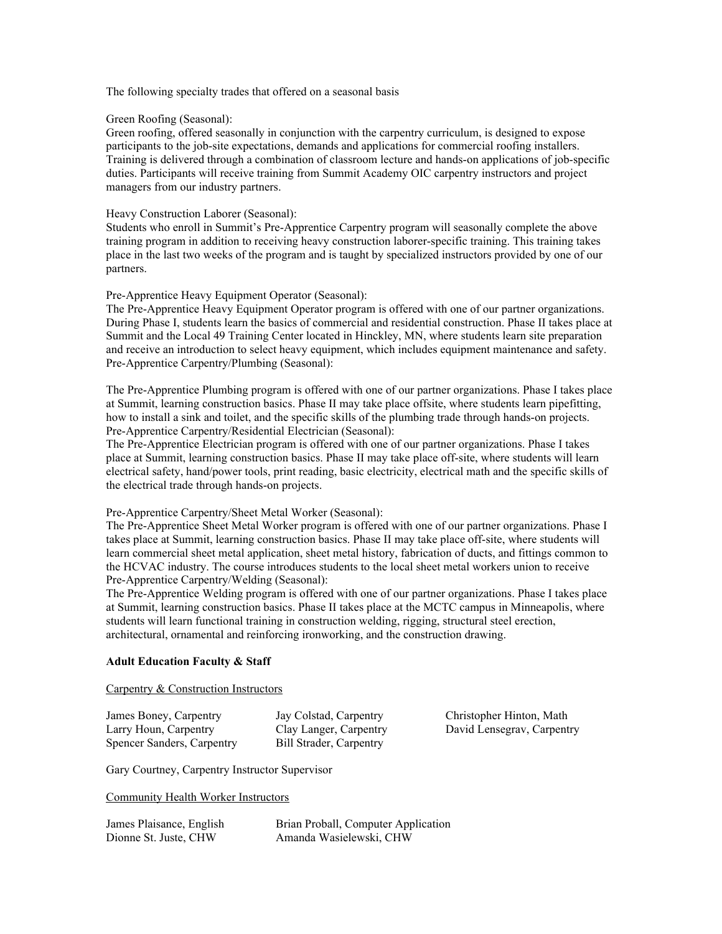The following specialty trades that offered on a seasonal basis

#### Green Roofing (Seasonal):

Green roofing, offered seasonally in conjunction with the carpentry curriculum, is designed to expose participants to the job-site expectations, demands and applications for commercial roofing installers. Training is delivered through a combination of classroom lecture and hands-on applications of job-specific duties. Participants will receive training from Summit Academy OIC carpentry instructors and project managers from our industry partners.

#### Heavy Construction Laborer (Seasonal):

Students who enroll in Summit's Pre-Apprentice Carpentry program will seasonally complete the above training program in addition to receiving heavy construction laborer-specific training. This training takes place in the last two weeks of the program and is taught by specialized instructors provided by one of our partners.

#### Pre-Apprentice Heavy Equipment Operator (Seasonal):

The Pre-Apprentice Heavy Equipment Operator program is offered with one of our partner organizations. During Phase I, students learn the basics of commercial and residential construction. Phase II takes place at Summit and the Local 49 Training Center located in Hinckley, MN, where students learn site preparation and receive an introduction to select heavy equipment, which includes equipment maintenance and safety. Pre-Apprentice Carpentry/Plumbing (Seasonal):

The Pre-Apprentice Plumbing program is offered with one of our partner organizations. Phase I takes place at Summit, learning construction basics. Phase II may take place offsite, where students learn pipefitting, how to install a sink and toilet, and the specific skills of the plumbing trade through hands-on projects. Pre-Apprentice Carpentry/Residential Electrician (Seasonal):

The Pre-Apprentice Electrician program is offered with one of our partner organizations. Phase I takes place at Summit, learning construction basics. Phase II may take place off-site, where students will learn electrical safety, hand/power tools, print reading, basic electricity, electrical math and the specific skills of the electrical trade through hands-on projects.

## Pre-Apprentice Carpentry/Sheet Metal Worker (Seasonal):

The Pre-Apprentice Sheet Metal Worker program is offered with one of our partner organizations. Phase I takes place at Summit, learning construction basics. Phase II may take place off-site, where students will learn commercial sheet metal application, sheet metal history, fabrication of ducts, and fittings common to the HCVAC industry. The course introduces students to the local sheet metal workers union to receive Pre-Apprentice Carpentry/Welding (Seasonal):

The Pre-Apprentice Welding program is offered with one of our partner organizations. Phase I takes place at Summit, learning construction basics. Phase II takes place at the MCTC campus in Minneapolis, where students will learn functional training in construction welding, rigging, structural steel erection, architectural, ornamental and reinforcing ironworking, and the construction drawing.

# **Adult Education Faculty & Staff**

## Carpentry & Construction Instructors

| James Boney, Carpentry     | Jay Colstad, Carpentry         |
|----------------------------|--------------------------------|
| Larry Houn, Carpentry      | Clay Langer, Carpentry         |
| Spencer Sanders, Carpentry | <b>Bill Strader, Carpentry</b> |

Christopher Hinton, Math David Lensegrav, Carpentry

Gary Courtney, Carpentry Instructor Supervisor

Community Health Worker Instructors

| James Plaisance, English | Brian Proball, Computer Application |
|--------------------------|-------------------------------------|
| Dionne St. Juste, CHW    | Amanda Wasielewski, CHW             |